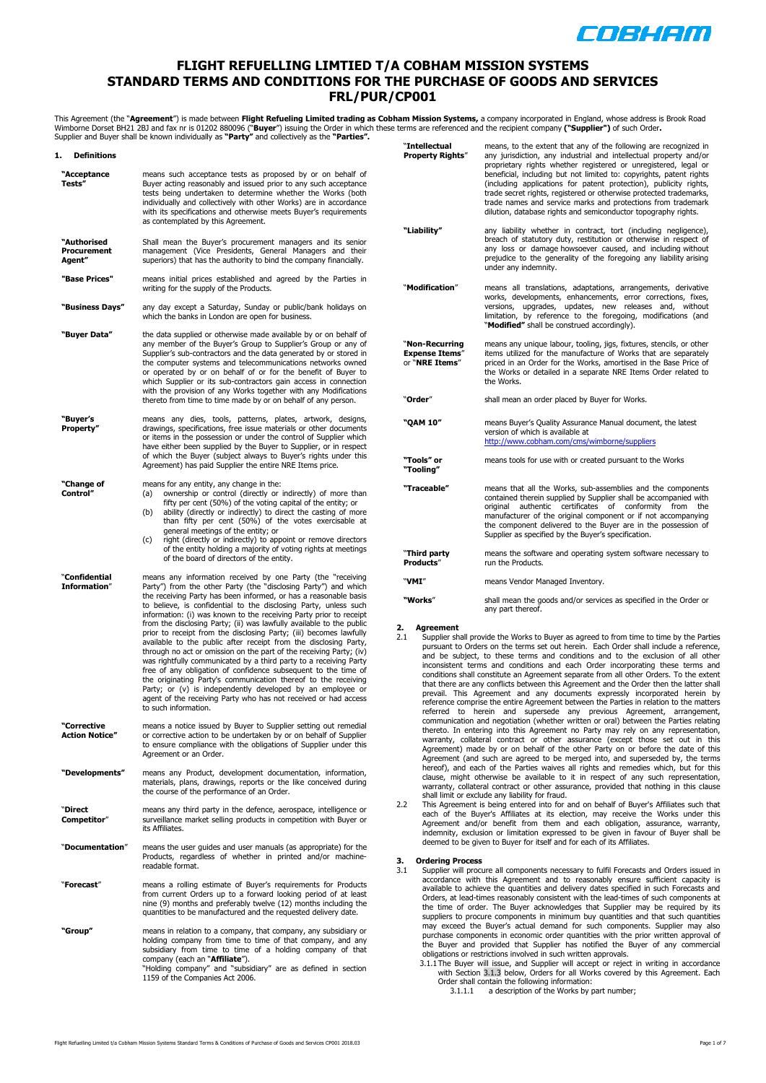

#### **FLIGHT REFUELLING LIMTIED T/A COBHAM MISSION SYSTEMS STANDARD TERMS AND CONDITIONS FOR THE PURCHASE OF GOODS AND SERVICES FRL/PUR/CP001**

This Agreement (the "**Agreement**") is made between **Flight Refueling Limited trading as Cobham Mission Systems,** a company incorporated in England, whose address is Brook Road<br>Wimborne Dorset BH21 2BJ and fax nr is 01202 8

| 1.<br><b>Definitions</b>             |                                                                                                                                                                                                                                                                                                                                                                                                                                                                                                                                                                                                                                                                                                                                                                                                                                                                                                                                                                                                         |          |
|--------------------------------------|---------------------------------------------------------------------------------------------------------------------------------------------------------------------------------------------------------------------------------------------------------------------------------------------------------------------------------------------------------------------------------------------------------------------------------------------------------------------------------------------------------------------------------------------------------------------------------------------------------------------------------------------------------------------------------------------------------------------------------------------------------------------------------------------------------------------------------------------------------------------------------------------------------------------------------------------------------------------------------------------------------|----------|
| "Acceptance<br>Tests"                | means such acceptance tests as proposed by or on behalf of<br>Buyer acting reasonably and issued prior to any such acceptance<br>tests being undertaken to determine whether the Works (both<br>individually and collectively with other Works) are in accordance<br>with its specifications and otherwise meets Buyer's requirements<br>as contemplated by this Agreement.                                                                                                                                                                                                                                                                                                                                                                                                                                                                                                                                                                                                                             |          |
| "Authorised<br>Procurement<br>Agent" | Shall mean the Buyer's procurement managers and its senior<br>management (Vice Presidents, General Managers and their<br>superiors) that has the authority to bind the company financially.                                                                                                                                                                                                                                                                                                                                                                                                                                                                                                                                                                                                                                                                                                                                                                                                             |          |
| "Base Prices"                        | means initial prices established and agreed by the Parties in<br>writing for the supply of the Products.                                                                                                                                                                                                                                                                                                                                                                                                                                                                                                                                                                                                                                                                                                                                                                                                                                                                                                |          |
| "Business Days"                      | any day except a Saturday, Sunday or public/bank holidays on<br>which the banks in London are open for business.                                                                                                                                                                                                                                                                                                                                                                                                                                                                                                                                                                                                                                                                                                                                                                                                                                                                                        |          |
| "Buyer Data"                         | the data supplied or otherwise made available by or on behalf of<br>any member of the Buyer's Group to Supplier's Group or any of<br>Supplier's sub-contractors and the data generated by or stored in<br>the computer systems and telecommunications networks owned<br>or operated by or on behalf of or for the benefit of Buyer to<br>which Supplier or its sub-contractors gain access in connection<br>with the provision of any Works together with any Modifications<br>thereto from time to time made by or on behalf of any person.                                                                                                                                                                                                                                                                                                                                                                                                                                                            |          |
| "Buyer's<br>Property"                | means any dies, tools, patterns, plates, artwork, designs,<br>drawings, specifications, free issue materials or other documents<br>or items in the possession or under the control of Supplier which<br>have either been supplied by the Buyer to Supplier, or in respect<br>of which the Buyer (subject always to Buyer's rights under this<br>Agreement) has paid Supplier the entire NRE Items price.                                                                                                                                                                                                                                                                                                                                                                                                                                                                                                                                                                                                |          |
| "Change of<br>Control"               | means for any entity, any change in the:<br>ownership or control (directly or indirectly) of more than<br>(a)<br>fifty per cent (50%) of the voting capital of the entity; or<br>ability (directly or indirectly) to direct the casting of more<br>(b)<br>than fifty per cent (50%) of the votes exercisable at<br>general meetings of the entity; or<br>right (directly or indirectly) to appoint or remove directors<br>(c)<br>of the entity holding a majority of voting rights at meetings<br>of the board of directors of the entity.                                                                                                                                                                                                                                                                                                                                                                                                                                                              |          |
| "Confidential<br><b>Information"</b> | means any information received by one Party (the "receiving<br>Party") from the other Party (the "disclosing Party") and which<br>the receiving Party has been informed, or has a reasonable basis<br>to believe, is confidential to the disclosing Party, unless such<br>information: (i) was known to the receiving Party prior to receipt<br>from the disclosing Party; (ii) was lawfully available to the public<br>prior to receipt from the disclosing Party; (iii) becomes lawfully<br>available to the public after receipt from the disclosing Party,<br>through no act or omission on the part of the receiving Party; (iv)<br>was rightfully communicated by a third party to a receiving Party<br>free of any obligation of confidence subsequent to the time of<br>the originating Party's communication thereof to the receiving<br>Party; or (v) is independently developed by an employee or<br>agent of the receiving Party who has not received or had access<br>to such information. | 2.<br>2. |
| "Corrective<br><b>Action Notice"</b> | means a notice issued by Buyer to Supplier setting out remedial<br>or corrective action to be undertaken by or on behalf of Supplier<br>to ensure compliance with the obligations of Supplier under this<br>Agreement or an Order.                                                                                                                                                                                                                                                                                                                                                                                                                                                                                                                                                                                                                                                                                                                                                                      |          |
| "Developments"                       | means any Product, development documentation, information,<br>materials, plans, drawings, reports or the like conceived during<br>the course of the performance of an Order.                                                                                                                                                                                                                                                                                                                                                                                                                                                                                                                                                                                                                                                                                                                                                                                                                            |          |
| "Direct<br>Competitor"               | means any third party in the defence, aerospace, intelligence or<br>surveillance market selling products in competition with Buyer or<br>its Affiliates.                                                                                                                                                                                                                                                                                                                                                                                                                                                                                                                                                                                                                                                                                                                                                                                                                                                | 2.3      |
| "Documentation"                      | means the user guides and user manuals (as appropriate) for the<br>Products, regardless of whether in printed and/or machine-<br>readable format.                                                                                                                                                                                                                                                                                                                                                                                                                                                                                                                                                                                                                                                                                                                                                                                                                                                       | 3.<br>3. |
| "Forecast"                           | means a rolling estimate of Buyer's requirements for Products<br>from current Orders up to a forward looking period of at least<br>nine (9) months and preferably twelve (12) months including the<br>quantities to be manufactured and the requested delivery date.                                                                                                                                                                                                                                                                                                                                                                                                                                                                                                                                                                                                                                                                                                                                    |          |
| "Group"                              | means in relation to a company, that company, any subsidiary or<br>holding company from time to time of that company, and any<br>subsidiary from time to time of a holding company of that<br>company (each an "Affiliate").<br>"Holding company" and "subsidiary" are as defined in section<br>1159 of the Companies Act 2006.                                                                                                                                                                                                                                                                                                                                                                                                                                                                                                                                                                                                                                                                         |          |

| "Intellectual<br><b>Property Rights"</b>                  | means, to the extent that any of the following are recognized in<br>any jurisdiction, any industrial and intellectual property and/or<br>proprietary rights whether registered or unregistered, legal or<br>beneficial, including but not limited to: copyrights, patent rights<br>(including applications for patent protection), publicity rights,<br>trade secret rights, registered or otherwise protected trademarks,<br>trade names and service marks and protections from trademark<br>dilution, database rights and semiconductor topography rights. |
|-----------------------------------------------------------|--------------------------------------------------------------------------------------------------------------------------------------------------------------------------------------------------------------------------------------------------------------------------------------------------------------------------------------------------------------------------------------------------------------------------------------------------------------------------------------------------------------------------------------------------------------|
| "Liability"                                               | any liability whether in contract, tort (including negligence),<br>breach of statutory duty, restitution or otherwise in respect of<br>any loss or damage howsoever caused, and including without<br>prejudice to the generality of the foregoing any liability arising<br>under any indemnity.                                                                                                                                                                                                                                                              |
| "Modification"                                            | means all translations, adaptations, arrangements, derivative<br>works, developments, enhancements, error corrections, fixes,<br>upgrades, updates, new releases and, without<br>versions,<br>limitation, by reference to the foregoing, modifications (and<br>"Modified" shall be construed accordingly).                                                                                                                                                                                                                                                   |
| "Non-Recurring<br><b>Expense Items"</b><br>or "NRE Items" | means any unique labour, tooling, jigs, fixtures, stencils, or other<br>items utilized for the manufacture of Works that are separately<br>priced in an Order for the Works, amortised in the Base Price of<br>the Works or detailed in a separate NRE Items Order related to<br>the Works.                                                                                                                                                                                                                                                                  |
| "Order"                                                   | shall mean an order placed by Buyer for Works.                                                                                                                                                                                                                                                                                                                                                                                                                                                                                                               |
| "OAM 10"                                                  | means Buyer's Quality Assurance Manual document, the latest<br>version of which is available at<br>http://www.cobham.com/cms/wimborne/suppliers                                                                                                                                                                                                                                                                                                                                                                                                              |
| "Tools" or<br>"Tooling"                                   | means tools for use with or created pursuant to the Works                                                                                                                                                                                                                                                                                                                                                                                                                                                                                                    |
| "Traceable"                                               | means that all the Works, sub-assemblies and the components<br>contained therein supplied by Supplier shall be accompanied with<br>certificates<br>of conformity<br>original<br>authentic<br>from<br>the<br>manufacturer of the original component or if not accompanying<br>the component delivered to the Buver are in the possession of<br>Supplier as specified by the Buyer's specification.                                                                                                                                                            |
| "Third party<br>Products"                                 | means the software and operating system software necessary to<br>run the Products.                                                                                                                                                                                                                                                                                                                                                                                                                                                                           |
| "VMI"                                                     | means Vendor Managed Inventory.                                                                                                                                                                                                                                                                                                                                                                                                                                                                                                                              |

**"Works**" shall mean the goods and/or services as specified in the Order or any part thereof.

## **2. Agreement**<br> **2.** Supplier sh

- 2.1 Supplier shall provide the Works to Buyer as agreed to from time to time by the Parties pursuant to Orders on the terms set out herein. Each Order shall include a reference, and be subject, to these terms and conditions and to the exclusion of all other inconsistent terms and conditions and each Order incorporating these terms and conditions shall constitute an Agreement separate from all other Orders. To the extent that there are any conflicts between this Agreement and the Order then the latter shall prevail. This Agreement and any documents expressly incorporated herein by<br>reference comprise-the entire-Agreement between the Parties in-relation-to-the matters<br>referred to herein and supersede any previous Agreement, arr communication and negotiation (whether written or oral) between the Parties relating thereto. In entering into this Agreement no Party may rely on any representation, warranty, collateral contract or other assurance (except those set out in this<br>Agreement) made by or on behalf of the other Party on or before the date of this<br>Agreement (and such are agreed to be merged into, and supersed hereof), and each of the Parties waives all rights and remedies which, but for this clause, might otherwise be available to it in respect of any such representation, warranty, collateral contract or other assurance, provided that nothing in this clause shall limit or exclude any liability for fraud.
- 2.2 This Agreement is being entered into for and on behalf of Buyer's Affiliates such that<br>each of the Buyer's Affiliates at its election, may receive the Works under this<br>Agreement and/or benefit from them and each obliga indemnity, exclusion or limitation expressed to be given in favour of Buyer shall be deemed to be given to Buyer for itself and for each of its Affiliates.

#### **3. Ordering Process**

- Supplier will procure all components necessary to fulfil Forecasts and Orders issued in accordance with this Agreement and to reasonably ensure sufficient capacity is available to achieve the quantities and delivery dates specified in such Forecasts and Orders, at lead-times reasonably consistent with the lead-times of such components at the time of order. The Buyer acknowledges that Supplier may be required by its suppliers to procure components in minimum buy quantities and that such quantities may exceed the Buyer's actual demand for such components. Supplier may also purchase components in economic order quantities with the prior written approval of the Buyer and provided that Supplier has notified the Buyer of any commercial obligations or restrictions involved in such written approvals.
	- 3.1.1The Buyer will issue, and Supplier will accept or reject in writing in accordance with Section 3.1.3 below, Orders for all Works covered by this Agreement. Each Order shall contain the following information:
		- 3.1.1.1 a description of the Works by part number;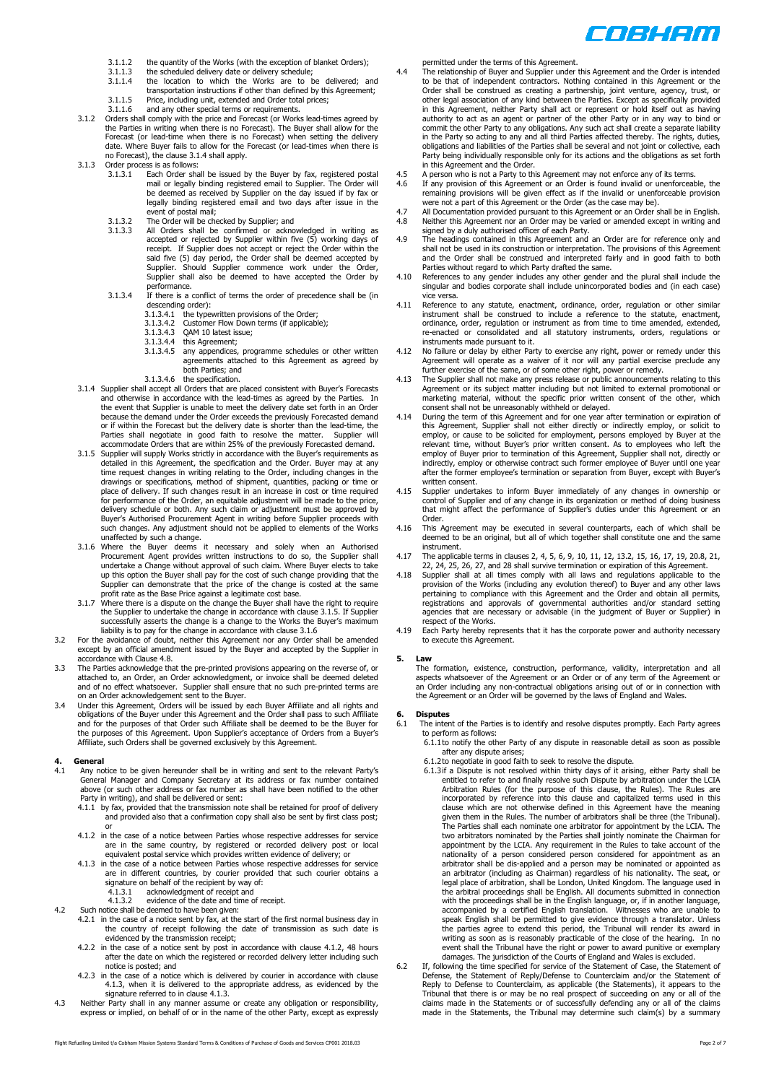

- 3.1.1.2 the quantity of the Works (with the exception of blanket Orders);
- 3.1.1.3 the scheduled delivery date or delivery schedule; 3.1.1.4 the location to which the Works are to be delivered; and
- transportation instructions if other than defined by this Agreement;
- 
- 3.1.1.5 Price, including unit, extended and Order total prices; 3.1.1.6 and any other special terms or requirements.
- 3.1.2 Orders shall comply with the price and Forecast (or Works lead-times agreed by the Parties in writing when there is no Forecast). The Buyer shall allow for the Forecast (or lead-time when there is no Forecast) when setting the delivery date. Where Buyer fails to allow for the Forecast (or lead-times when there is no Forecast), the clause 3.1.4 shall apply.
- 3.1.3 Order process is as follows:
	- 3.1.3.1 Each Order shall be issued by the Buyer by fax, registered postal mail or legally binding registered email to Supplier. The Order will be deemed as received by Supplier on the day issued if by fax or legally binding registered email and two days after issue in the<br>event of postal mail;<br>3.1.3.2 The Order will be checked by Supplier; and
	-
	- 3.1.3.3 All Orders shall be confirmed or acknowledged in writing as accepted or rejected by Supplier within five (5) working days of receipt. If Supplier does not accept or reject the Order within the said five (5) day period, the Order shall be deemed accepted by Supplier. Should Supplier commence work under the Order, Supplier shall also be deemed to have accepted the Order by
	- performance. 3.1.3.4 If there is a conflict of terms the order of precedence shall be (in descending order):
		- 3.1.3.4.1 the typewritten provisions of the Order; 3.1.3.4.2 Customer Flow Down terms (if applicable);
		-
		- $3.1.3.4.3$  QAM 10 latest issue;<br> $3.1.3.4.4$  this Agreement;
		- $3.1.3.4.4$  this Agreement;<br> $3.1.3.4.5$  any appendices any appendices, programme schedules or other written
		- agreements attached to this Agreement as agreed by both Parties; and 3.1.3.4.6 the specification.
			-
- 3.1.4 Supplier shall accept all Orders that are placed consistent with Buyer's Forecasts.<br>and otherwise in accordance with the lead-times as agreed by the Parties. In<br>the event that Supplier is unable to meet the delivery because the demand under the Order exceeds the previously Forecasted demand or if within the Forecast but the delivery date is shorter than the lead-time, the Parties shall negotiate in good faith to resolve the matter. Supplier will accommodate Orders that are within 25% of the previously Forecasted demand.
- 3.1.5 Supplier will supply Works strictly in accordance with the Buyer's requirements as detailed in this Agreement, the specification and the Order. Buyer may at any time request changes in writing relating to the Order, including changes in the drawings or specifications, method of shipment, quantities, packing or time or place of delivery. If such changes result in an increase in cost or time required for performance of the Order, an equitable adjustment will be made to the price,<br>delivery schedule or both. Any such claim or adjustment must be approved by<br>Buyer's Authorised Procurement Agent in writing before Supplier p such changes. Any adjustment should not be applied to elements of the Works
- unaffected by such a change. 3.1.6 Where the Buyer deems it necessary and solely when an Authorised Procurement Agent provides written instructions to do so, the Supplier shall undertake a Change without approval of such claim. Where Buyer elects to take up this option the Buyer shall pay for the cost of such change providing that the Supplier can demonstrate that the price of the change is costed at the same
- profit rate as the Base Price against a legitimate cost base. 3.1.7 Where there is a dispute on the change the Buyer shall have the right to require the Supplier to undertake the change in accordance with clause 3.1.5. If Supplier<br>successfully asserts the change is a change to the Works the Buyer's maximum<br>liability is to pay for the change in accordance with clause 3.
- 3.2 For the avoidance of doubt, neither this Agreement nor any Order shall be amended except by an official amendment issued by the Buyer and accepted by the Supplier in accordance with Clause 4.8.
- 3.3 The Parties acknowledge that the pre-printed provisions appearing on the reverse of, or attached to, an Order, an Order acknowledgment, or invoice shall be deemed deleted and of no effect whatsoever. Supplier shall ensure that no such pre-printed terms are
- on an Order acknowledgement sent to the Buyer. 3.4 Under this Agreement, Orders will be issued by each Buyer Affiliate and all rights and obligations of the Buyer under this Agreement and the Order shall pass to such Affiliate and for the purposes of that Order such Affiliate shall be deemed to be the Buyer for the purposes of this Agreement. Upon Supplier's acceptance of Orders from a Buyer's Affiliate, such Orders shall be governed exclusively by this Agreement.

## **4. General**

- 4.1 Any notice to be given hereunder shall be in writing and sent to the relevant Party's General Manager and Company Secretary at its address or fax number contained above (or such other address or fax number and pay be p
	- 4.1.1 by fax, provided that the transmission note shall be retained for proof of delivery and provided also that a confirmation copy shall also be sent by first class post; or
	- 4.1.2 in the case of a notice between Parties whose respective addresses for service<br>are in the same country, by registered or recorded delivery post or local<br>equivalent postal service which provides written evidence of de
	- 4.1.3 in the case of a notice between Parties whose respective addresses for service are in different countries, by courier provided that such courier obtains a<br>signature on behalf of the recipient by way of:<br>4.1.3.1 acknowledgment of receipt and
		-
- 4.1.3.2 evidence of the date and time of receipt. 4.2 Such notice shall be deemed to have been given:
	-
	- 4.2.1 in the case of a notice sent by fax, at the start of the first normal business day in the country of receipt following the date of transmission as such date is evidenced by the transmission receipt;
	- 4.2.2 in the case of a notice sent by post in accordance with clause 4.1.2, 48 hours after the date on which the registered or recorded delivery letter including such notice is posted; and
	- 4.2.3 in the case of a notice which is delivered by courier in accordance with clause 4.1.3, when it is delivered to the appropriate address, as evidenced by the signature referred to in clause 4.1.3.
- 4.3 Neither Party shall in any manner assume or create any obligation or responsibility, express or implied, on behalf of or in the name of the other Party, except as expressly

permitted under the terms of this Agreement.

- 4.4 The relationship of Buyer and Supplier under this Agreement and the Order is intended to be that of independent contractors. Nothing contained in this Agreement or the Order shall be construed as creating a partnership, joint venture, agency, trust, or other legal association of any kind between the Parties. Except as specifically provided in this Agreement, neither Party shall act or represent or hold itself out as having authority to act as an agent or partner of the other Party or in any way to bind or commit the other Party to any obligations. Any such act shall create a separate liability in the Party so acting to any and all third Parties affected thereby. The rights, duties, obligations and liabilities of the Parties shall be several and not joint or collective, each Party being individually responsible only for its actions and the obligations as set forth in this Agreement and the Order.
- 
- 4.5 A person who is not a Party to this Agreement may not enforce any of its terms.<br>4.6 If any provision of this Agreement or an Order is found invalid or unenforceable, the<br>remaining provisions will be given effect as if were not a part of this Agreement or the Order (as the case may be).
- 4.7 All Documentation provided pursuant to this Agreement or an Order shall be in English. 4.8 Neither this Agreement nor an Order may be varied or amended except in writing and
- signed by a duly authorised officer of each Party. 4.9 The headings contained in this Agreement and an Order are for reference only and shall not be used in its construction or interpretation. The provisions of this Agreement and the Order shall be construed and interpreted fairly and in good faith to both Parties without regard to which Party drafted the same.
- 4.10 References to any gender includes any other gender and the plural shall include the singular and bodies corporate shall include unincorporated bodies and (in each case) vice versa.
- 4.11 Reference to any statute, enactment, ordinance, order, regulation or other similar instrument shall be construed to include a reference to the statute, enactment, ordinance, order, regulation or instrument as from tim
- instruments made pursuant to it. 4.12 No failure or delay by either Party to exercise any right, power or remedy under this Agreement will operate as a waiver of it nor will any partial exercise preclude any
- further exercise of the same, or of some other right, power or remedy. 4.13 The Supplier shall not make any press release or public announcements relating to this Agreement or its subject matter including but not limited to external promotional or<br>marketing material, without the specific prior written consent of the other, which<br>consent shall not be unreasonably withheld or delayed.
- 4.14 During the term of this Agreement and for one year after termination or expiration of this Agreement, Supplier shall not either directly or indirectly employ, or solicit to employ, or cause to be solicited for employe employ of Buyer prior to termination of this Agreement, Supplier shall not, directly or indirectly, employ or otherwise contract such former employee of Buyer until one year after the former employee's termination or separation from Buyer, except with Buyer's written consent.
- 4.15 Supplier undertakes to inform Buyer immediately of any changes in ownership or control of Supplier and of any change in its organization or method of doing business that might affect the performance of Supplier's duties under this Agreement or an Order.
- 4.16 This Agreement may be executed in several counterparts, each of which shall be deemed to be an original, but all of which together shall constitute one and the same instrument.
- 4.17 The applicable terms in clauses 2, 4, 5, 6, 9, 10, 11, 12, 13.2, 15, 16, 17, 19, 20.8, 21, 22, 24, 25, 26, 27, and 28 shall survive termination or expiration of this Agreement. 4.18 Supplier shall at all times comply with all laws and regulations applicable to the
- provision of the Works (including any evolution thereof) to Buyer and any other laws pertaining to compliance with this Agreement and the Order and obtain all permits, registrations and approvals of governmental authorities and/or standard setting agencies that are necessary or advisable (in the judgment of Buyer or Supplier) in respect of the Works.
- 4.19 Each Party hereby represents that it has the corporate power and authority necessary to execute this Agreement.

#### **5. Law**

The formation, existence, construction, performance, validity, interpretation and all<br>aspects whatsoever of the Agreement or an Order or of any term of the Agreement or<br>an Order including any non-contractual obligations ar the Agreement or an Order will be governed by the laws of England and Wales.

# **6. Disputes**

- The intent of the Parties is to identify and resolve disputes promptly. Each Party agrees to perform as follows:
	- 6.1.1to notify the other Party of any dispute in reasonable detail as soon as possible after any dispute arises 6.1.2to negotiate in good faith to seek to resolve the dispute.
	-
	- 6.1.3if a Dispute is not resolved within thirty days of it arising, either Party shall be entitled to refer to and finally resolve such Dispute by arbitration under the LCIA Arbitration Rules (for the purpose of this claus clause which are not otherwise defined in this Agreement have the meaning given them in the Rules. The number of arbitrators shall be three (the Tribunal). The Parties shall each nominate one arbitrator for appointment by the LCIA. The two arbitrators nominated by the Parties shall jointly nominate the Chairman for appointment by the LCIA. Any requirement in the Rules to take account of the nationality of a person considered person considered for appointment as an arbitrator shall be dis-applied and a person may be nominated or appointed as an arbitrator (including as Chairman) regardless of his nationality. The seat, or<br>legal place of arbitration, shall be London, United Kingdom. The language used in<br>the arbitral proceedings shall be English. All documents s speak English shall be permitted to give evidence through a translator. Unless<br>the parties agree to extend this period, the Tribunal will render its award in<br>writing as soon as is reasonably practicable of the close of the event shall the Tribunal have the right or power to award punitive or exemplary damages. The jurisdiction of the Courts of England and Wales is excluded.
- 6.2 If, following the time specified for service of the Statement of Case, the Statement of<br>Defense, the Statement of Reply/Defense to Counterclaim and/or the Statement of<br>Reply to Defense to Counterclaim, as applicable (t Tribunal that there is or may be no real prospect of succeeding on any or all of the<br>claims made in the Statements or of successfully defending any or all of the claims<br>made in the Statements, the Tribunal may determine su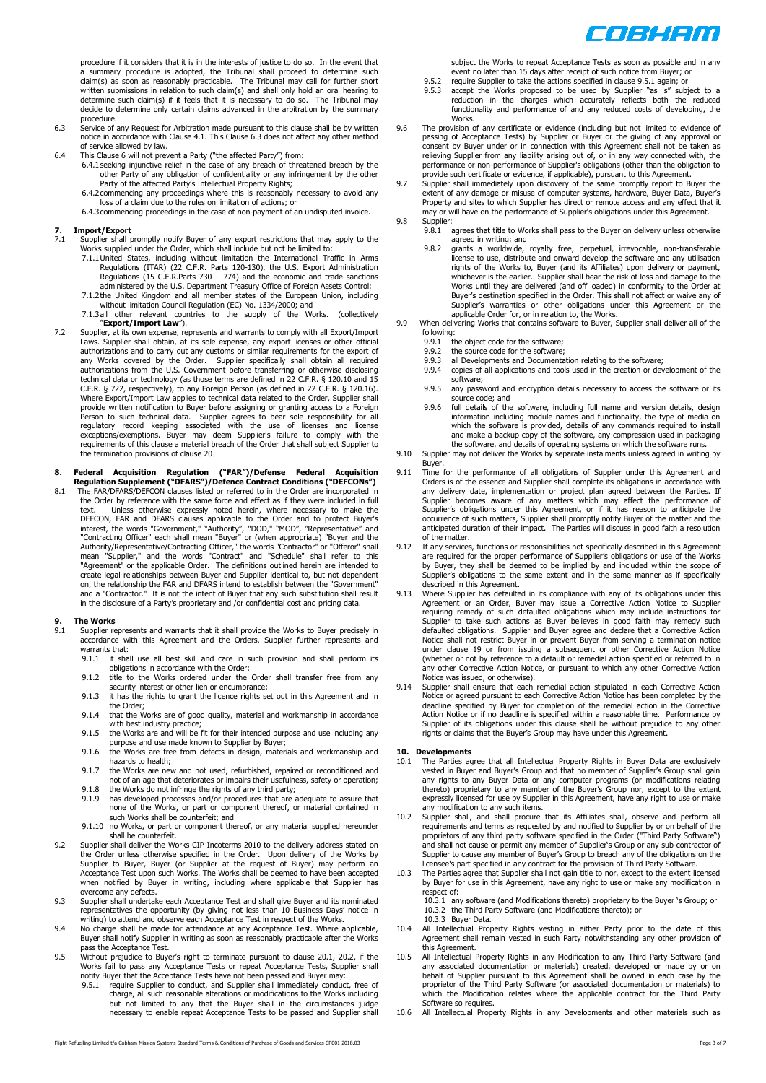

procedure if it considers that it is in the interests of justice to do so. In the event that<br>a summary procedure is adopted, the Tribunal shall proceed to determine such<br>claim(s) as soon as reasonably practicable. The Trib determine such claim(s) if it feels that it is necessary to do so. The Tribunal may decide to determine only certain claims advanced in the arbitration by the summary procedure.

- 6.3 Service of any Request for Arbitration made pursuant to this clause shall be by written notice in accordance with Clause 4.1. This Clause 6.3 does not affect any other method of service allowed by law.
- 
- 6.4 This Clause 6 will not prevent a Party ("the affected Party") from:<br>6.4.1 seeking injunctive relief in the case of any breach of threatened breach by the<br>other Party of any obligation of confidentiality or any infringe Party of the affected Party's Intellectual Property Rights;
	- 6.4.2commencing any proceedings where this is reasonably necessary to avoid any loss of a claim due to the rules on limitation of actions; or
	- 6.4.3commencing proceedings in the case of non-payment of an undisputed invoice.

#### **7. Import/Export**

- mport, Export<br>The Supplier shall promptly notify Buyer of any export restrictions that may apply to the Works supplied under the Order, which shall include but not be limited to:
	- 7.1.1United States, including without limitation the International Traffic in Arms Regulations (ITAR) (22 C.F.R. Parts 120-130), the U.S. Export Administration
	- Regulations (15 C.F.R.Parts 730 774) and the economic and trade sanctions<br>administered by the U.S. Department Treasury Office of Foreign Assets Control;<br>7.1.2the United Kingdom and all member states of the European Unio
- "**Export/Import Law**"). 7.2 Supplier, at its own expense, represents and warrants to comply with all Export/Import
- Laws. Supplier shall obtain, at its sole expense, any export licenses or other official<br>authorizations and to carry out any customs or similar requirements for the export of<br>any Works covered by the Order. Supplier speci authorizations from the U.S. Government before transferring or otherwise disclosing technical data or technology (as those terms are defined in 22 C.F.R. § 120.10 and 15 C.F.R. § 722, respectively), to any Foreign Person (as defined in 22 C.F.R. § 120.16). Where Export/Import Law applies to technical data related to the Order, Supplier shall provide written notification to Buyer before assigning or granting access to a Foreign Person to such technical data. Supplier agrees to bear sole responsibility for all<br>regulatory record keeping associated with the use of licenses and license<br>exceptions/exemptions. Buyer may deem Supplier's failure to compl the termination provisions of clause 20.

#### **8. Federal Acquisition Regulation ("FAR")/Defense Federal Acquisition**

**Regulation Supplement ("DFARS")/Defence Contract Conditions ("DEFCONs")**  8.1 The FAR/DFARS/DEFCON clauses listed or referred to in the Order are incorporated in the Order by reference with the same force and effect as if they were included in full<br>text. Unless otherwise expressly noted herein, where necessary to make the<br>DEFCON, FAR and DFARS clauses applicable to the Order and to "Agreement" or the applicable Order. The definitions outlined herein are intended to create legal relationships between Buyer and Supplier identical to, but not dependent on, the relationship the FAR and DFARS intend to establish between the "Government" and a "Contractor." It is not the intent of Buyer that any such substitution shall result in the disclosure of a Party's proprietary and /or confidential cost and pricing data.

### **9. The Works**

- Supplier represents and warrants that it shall provide the Works to Buyer precisely in accordance with this Agreement and the Orders. Supplier further represents and warrants that:<br>9.1.1. it sha
	- 9.1.1 it shall use all best skill and care in such provision and shall perform its obligations in accordance with the Order; 9.1.2 title to the Works ordered under the Order shall transfer free from any
	- security interest or other lien or encumbrance;
	- 9.1.3 it has the rights to grant the licence rights set out in this Agreement and in the Order;
	- 9.1.4 that the Works are of good quality, material and workmanship in accordance with best industry practice; 9.1.5 the Works are and will be fit for their intended purpose and use including any
	- purpose and use made known to Supplier by Buyer; 9.1.6 the Works are free from defects in design, materials and workmanship and
	- hazards to health;
	- 9.1.7 the Works are new and not used, refurbished, repaired or reconditioned and not of an age that deteriorates or impairs their usefulness, safety or operation;
	- 9.1.8 the Works do not infringe the rights of any third party; 9.1.9 has developed processes and/or procedures that are adequate to assure that none of the Works, or part or component thereof, or material contained in such Works shall be counterfeit; and
	- 9.1.10 no Works, or part or component thereof, or any material supplied hereunder shall be counterfeit.
- 9.2 Supplier shall deliver the Works CIP Incoterms 2010 to the delivery address stated on the Order unless otherwise specified in the Order. Upon delivery of the Works by Supplier to Buyer, Buyer (or Supplier at the request of Buyer) may perform an Acceptance Test upon such Works. The Works shall be deemed to have been accepted when notified by Buyer in writing, including where applicable that Supplier has overcome any defects.
- 9.3 Supplier shall undertake each Acceptance Test and shall give Buyer and its nominated<br>representatives the opportunity (by giving not less than 10 Business Days' notice in<br>writing) to attend and observe each Acceptance T
- Buyer shall notify Supplier in writing as soon as reasonably practicable after the Works
- pass the Acceptance Test. 9.5 Without prejudice to Buyer's right to terminate pursuant to clause 20.1, 20.2, if the Works fail to pass any Acceptance Tests or repeat Acceptance Tests, Supplier shall<br>notify Buyer that the Acceptance Tests have not been passed and Buyer may:<br>9.5.1 require Supplier to conduct, and Supplier shall immediat
	- charge, all such reasonable alterations or modifications to the Works including but not limited to any that the Buyer shall in the circumstances judge necessary to enable repeat Acceptance Tests to be passed and Supplier shall

subject the Works to repeat Acceptance Tests as soon as possible and in any event no later than 15 days after receipt of such notice from Buyer; or

- 9.5.2 require Supplier to take the actions specified in clause 9.5.1 again; or 9.5.3 accept the Works proposed to be used by Supplier "as is" sub equine supplier to drive the detection specified in claded sight again, of reduction in the charges which accurately reflects both the reduced functionality and performance of and any reduced costs of developing, the Works.
- 9.6 The provision of any certificate or evidence (including but not limited to evidence of passing of Acceptance Tests) by Supplier or Buyer or the giving of any approval or consent by Buyer under or in connection with this Agreement shall not be taken as<br>relieving Supplier from any liability arising out of, or in any way connected with, the<br>performance or non-performance of Supplier's obligat
- extent of any damage or misuse of computer systems, hardware, Buyer Data, Buyer's Property and sites to which Supplier has direct or remote access and any effect that it may or will have on the performance of Supplier's obligations under this Agreement.
- 9.8 Supplier:<br>9.8.1 a ..<br>agrees that title to Works shall pass to the Buyer on delivery unless otherwise agreed in writing; and
	- 9.8.2 grants a worldwide, royalty free, perpetual, irrevocable, non-transferable license to use, distribute and onward develop the software and any utilisation rights of the Works to, Buyer (and its Affiliates) upon delivery or payment, whichever is the earlier. Supplier shall bear the risk of loss and damage to the Works until they are delivered (and off loaded) in conformity to the Order at Buyer's destination specified in the Order. This shall not affect or waive any of Supplier's warranties or other obligations under this Agreement or the applicable Order for, or in relation to, the Works.
- 9.9 When delivering Works that contains software to Buyer, Supplier shall deliver all of the following:<br> $9.9.1$  th<br> $9.9.2$  th
	- the object code for the software;
	- 9.9.2 the source code for the software;<br>9.9.3 all Developments and Documenta
	- 9.9.3 all Developments and Documentation relating to the software;<br>9.9.4 copies of all applications and tools used in the creation or dev
	- copies of all applications and tools used in the creation or development of the software; 9.9.5 any password and encryption details necessary to access the software or its
	- source code; and 9.9.6 full details of the software, including full name and version details, design information including module names and functionality, the type of media on which the software is provided, details of any commands required to install and make a backup copy of the software, any compression used in packaging the software, and details of operating systems on which the software runs.
- 9.10 Supplier may not deliver the Works by separate instalments unless agreed in writing by Buyer.
- 9.11 Time for the performance of all obligations of Supplier under this Agreement and Orders is of the essence and Supplier shall complete its obligations in accordance with any delivery date, implementation or project plan agreed between the Parties. If Supplier becomes aware of any matters which may affect the performance of Supplier's obligations under this Agreement, or if it has reason to anticipate the occurrence of such matters, Supplier shall promptly notify Buyer of the matter and the anticipated duration of their impact. The Parties will discuss in good faith a resolution of the matter.
- 9.12 If any services, functions or responsibilities not specifically described in this Agreement are required for the proper performance of Supplier's obligations or use of the Works by Buyer, they shall be deemed to be implied by and included within the scope of Supplier's obligations to the same extent and in the same manner as if specifically described in this Agreement.
- 9.13 Where Supplier has defaulted in its compliance with any of its obligations under this Agreement or an Order, Buyer may issue a Corrective Action Notice to Supplier requiring remedy of such defaulted obligations which may include instructions for<br>Supplier to take such actions as Buyer believes in good faith may remedy such<br>defaulted obligations. Supplier and Buyer agree and declare th under clause 19 or from issuing a subsequent or other Corrective Action Notice<br>(whether or not by reference to a default or remedial action specified or referred to in<br>any other Corrective Action Notice, or pursuant to whi
- Notice was issued, or otherwise). 9.14 Supplier shall ensure that each remedial action stipulated in each Corrective Action Notice or agreed pursuant to each Corrective Action Notice has been completed by the deadline specified by Buyer for completion of the remedial action in the Corrective Action Notice or if no deadline is specified within a reasonable time. Performance by Supplier of its obligations under this clause shall be without prejudice to any other rights or claims that the Buyer's Group may have under this Agreement.

#### **10. Developments**

- 10.1 The Parties agree that all Intellectual Property Rights in Buyer Data are exclusively vested in Buyer and Buyer's Group and that no member of Supplier's Group shall gain<br>any rights to any Buyer Data or any computer programs (or modifications relating<br>thereto) proprietary to any member of the Buyer's Group n
- any modification to any such items. 10.2 Supplier shall, and shall procure that its Affiliates shall, observe and perform all requirements and terms as requested by and notified to Supplier by or on behalf of the proprietors of any third party software specified in the Order ("Third Party Software") and shall not cause or permit any member of Supplier's Group or any sub-contractor of Supplier to cause any member of Buyer's Group to breach any of the obligations on the licensee's part specified in any contract for the provision of Third Party Software.
- 10.3 The Parties agree that Supplier shall not gain title to nor, except to the extent licensed by Buyer for use in this Agreement, have any right to use or make any modification in respect of:

10.3.1 any software (and Modifications thereto) proprietary to the Buyer 's Group; or 10.3.2 the Third Party Software (and Modifications thereto); or

- 10.3.3 Buyer Data. 10.4 All Intellectual Property Rights vesting in either Party prior to the date of this Agreement shall remain vested in such Party notwithstanding any other provision of this Agreement.
- 10.5 All Intellectual Property Rights in any Modification to any Third Party Software (and any associated documentation or materials) created, developed or made by or on behalf of Supplier pursuant to this Agreement shall be owned in each case by the proprietor of the Third Party Software (or associated documentation or materials) to which the Modification relates where the applicable contract for the Third Party Software so requires.
- 10.6 All Intellectual Property Rights in any Developments and other materials such as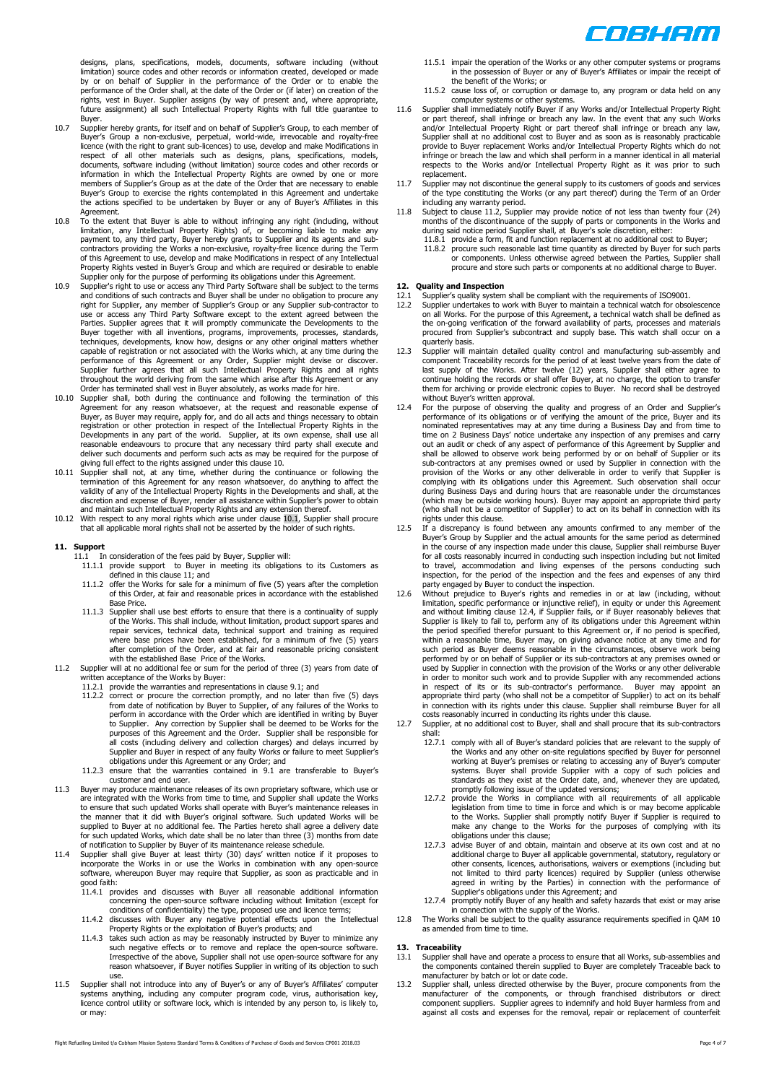

designs, plans, specifications, models, documents, software including (without limitation) source codes and other records or information created, developed or made by or on behalf of Supplier in the performance of the Order or to enable the performance of the Order shall, at the date of the Order or (if later) on creation of the rights, vest in Buyer. Supplier assigns (by way of present and, where appropriate,<br>future assignment) all such Intellectual Property Rights with full title guarantee to Buyer.

- 10.7 Supplier hereby grants, for itself and on behalf of Supplier's Group, to each member of Buyer's Group a non-exclusive, perpetual, world-wide, irrevocable and royalty-free licence (with the right to grant sub-licences) to use, develop and make Modifications in<br>respect of all other materials such as designs, plans, specifications, models,<br>documents, software including (without limitation) sou Buyer's Group to exercise the rights contemplated in this Agreement and undertake the actions specified to be undertaken by Buyer or any of Buyer's Affiliates in this Agreement.
- 10.8 To the extent that Buyer is able to without infringing any right (including, without limitation, any Intellectual Property Rights) of, or becoming liable to make any payment to, any third party, Buyer hereby grants to Supplier and its agents and subcontractors providing the Works a non-exclusive, royalty-free licence during the Term of this Agreement to use, develop and make Modifications in respect of any Intellectual Property Rights vested in Buyer's Group and which are required or desirable to enable
- Supplier only for the purpose of performing its obligations under this Agreement.<br>10.9 Supplier's right to use or access any Third Party Software shall be subject to the terms<br>and conditions of such contracts and Buyer sha techniques, developments, know how, designs or any other original matters whether capable of registration or not associated with the Works which, at any time during the performance of this Agreement or any Order, Supplier might devise or discover. Supplier further agrees that all such Intellectual Property Rights and all rights throughout the world deriving from the same which arise after this Agreement or any
- Order has terminated shall vest in Buyer absolutely, as works made for hire.<br>10.10 Supplier shall, both during the continuance and following the termination of this<br>Agreement for any reason whatsoever, at the request and r Developments in any part of the world. Supplier, at its own expense, shall use all reasonable endeavours to procure that any necessary third party shall execute and deliver such documents and perform such acts as may be required for the purpose of giving full effect to the rights assigned under this clause 10.
- 10.11 Supplier shall not, at any time, whether during the continuance or following the termination of this Agreement for any reason whatsoever, do anything to affect the validity of any of the Intellectual Property Rights in the Developments and shall, at the discretion and expense of Buyer, render all assistance within Supplier's power to obtain<br>and maintain such Intellectual Property Rights and any extension thereof.<br>10.12 With respect to any moral rights which arise under cl
- that all applicable moral rights shall not be asserted by the holder of such rights.

# **11. Support**

- In consideration of the fees paid by Buyer, Supplier will:
	- 11.1.1 provide support to Buyer in meeting its obligations to its Customers as defined in this clause 11; and
	- 11.1.2 offer the Works for sale for a minimum of five (5) years after the completion of this Order, at fair and reasonable prices in accordance with the established Base Price.
- 11.1.3 Supplier shall use best efforts to ensure that there is a continuality of supply of the Works. This shall include, without limitation, product support spares and repair services, technical data, technical support and training as required where base prices have been established, for a minimum of five (5) years<br>after completion of the Order, and at fair and reasonable pricing consistent<br>tin the established Base Price of the Works.<br>11.2 Supplier will at no ad
- - written acceptance of the Works by Buyer: 11.2.1 provide the warranties and representations in clause 9.1; and
	- 11.2.2 correct or procure the correction promptly, and no later than five (5) days<br>from date of notification by Buyer to Supplier, of any failures of the Works to<br>perform in accordance with the Order which are identified i to Supplier. Any correction by Supplier shall be deemed to be Works for the purposes of this Agreement and the Order. Supplier shall be responsible for all costs (including delivery and collection charges) and delays incurred by<br>Supplier and Buyer in respect of any faulty Works or failure to meet Supplier's<br>obligations under this Agreement or any Order; and
	- 11.2.3 ensure that the warranties contained in 9.1 are transferable to Buyer's customer and end user.
- 11.3 Buyer may produce maintenance releases of its own proprietary software, which use or are integrated with the Works from time to time, and Supplier shall update the Works to ensure that such updated Works shall operate with Buyer's maintenance releases in the manner that it did with Buyer's original software. Such updated Works will be supplied to Buyer at no additional fee. The Parties hereto shall agree a delivery date for such updated Works, which date shall be no later than three (3) months from date of notification to Supplier by Buyer of its maintenance release schedule.
- 11.4 Supplier shall give Buyer at least thirty (30) days' written notice if it proposes to incorporate the Works in or use the Works in combination with any open-source software, whereupon Buyer may require that Supplier, as soon as practicable and in good faith:
	- 11.4.1 provides and discusses with Buyer all reasonable additional information concerning the open-source software including without limitation (except for conditions of confidentiality) the type, proposed use and licence terms;
	- 11.4.2 discusses with Buyer any negative potential effects upon the Intellectual Property Rights or the exploitation of Buyer's products; and 11.4.3 takes such action as may be reasonably instructed by Buyer to minimize any
- such negative effects or to remove and replace the open-source software. Irrespective of the above, Supplier shall not use open-source software for any reason whatsoever, if Buyer notifies Supplier in writing of its objection to such use. 11.5 Supplier shall not introduce into any of Buyer's or any of Buyer's Affiliates' computer
- systems anything, including any computer program code, virus, authorisation key, licence control utility or software lock, which is intended by any person to, is likely to, or may:
- 11.5.1 impair the operation of the Works or any other computer systems or programs in the possession of Buyer or any of Buyer's Affiliates or impair the receipt of the benefit of the Works; or
- 11.5.2 cause loss of, or corruption or damage to, any program or data held on any
- computer systems or other systems. 11.6 Supplier shall immediately notify Buyer if any Works and/or Intellectual Property Right or part thereof, shall infringe or breach any law. In the event that any such Works and/or Intellectual Property Right or part thereof shall infringe or breach any law, Supplier shall at no additional cost to Buyer and as soon as is reasonably practicable provide to Buyer replacement Works and/or Intellectual Property Rights which do not<br>infringe or breach the law and which shall perform in a manner identical in all material<br>respects to the Works and/or Intellectual Propert replacement.
- 11.7 Supplier may not discontinue the general supply to its customers of goods and services of the type constituting the Works (or any part thereof) during the Term of an Order
- including any warranty period. 11.8 Subject to clause 11.2, Supplier may provide notice of not less than twenty four (24) months of the discontinuance of the supply of parts or components in the Works and during said notice period Supplier shall, at Buyer's sole discretion, either: 11.8.1 provide a form, fit and function replacement at no additional cost to Buyer;
	-
	- 11.8.2 procure such reasonable last time quantity as directed by Buyer for such parts or components. Unless otherwise agreed between the Parties, Supplier shall procure and store such parts or components at no additional charge to Buyer.

#### **12. Quality and Inspection**

- 
- 12.1 Supplier's quality system shall be compliant with the requirements of ISO9001. 12.2 Supplier undertakes to work with Buyer to maintain a technical watch for obsolescence on all Works. For the purpose of this Agreement, a technical watch shall be defined as the on-going verification of the forward availability of parts, processes and materials procured from Supplier's subcontract and supply base. This watch shall occur on a
- quarterly basis. 12.3 Supplier will maintain detailed quality control and manufacturing sub-assembly and component Traceability records for the period of at least twelve years from the date of last supply of the Works. After twelve (12) years, Supplier shall either agree to continue holding the records or shall offer Buyer, at no charge, the option to transfer them for archiving or provide electronic copies to Buyer. No record shall be destroyed without Buyer's written approval.
- For the purpose of observing the quality and progress of an Order and Supplier's performance of its obligations or of verifying the amount of the price, Buyer and its nominated representatives may at any time during a Business Day and from time to time on 2 Business Days' notice undertake any inspection of any premises and carry out an audit or check of any aspect of performance of this Agreement by Supplier and shall be allowed to observe work being performed by or on behalf of Supplier or its sub-contractors at any premises owned or used by Supplier in connection with the provision of the Works or any other deliverable in order to verify that Supplier is complying with its obligations under this Agreement. Such observation shall occur during Business Days and during hours that are reasonable under the circumstances (which may be outside working hours). Buyer may appoint an appropriate third party (who shall not be a competitor of Supplier) to act on its behalf in connection with its rights under this clause.
- 12.5 If a discrepancy is found between any amounts confirmed to any member of the Buyer's Group by Supplier and the actual amounts for the same period as determined in the course of any inspection made under this clause, S to travel, accommodation and living expenses of the persons conducting such inspection, for the period of the inspection and the fees and expenses of any third party engaged by Buyer to conduct the inspection.
- 12.6 Without prejudice to Buyer's rights and remedies in or at law (including, without limitation, specific performance or injunctive relief), in equity or under this Agreement and without limiting clause 12.4, if Supplier fails, or if Buyer reasonably believes that<br>Supplier is likely to fail to, perform any of its obligations under this Agreement within<br>the period specified therefor pursuant to within a reasonable time, Buyer may, on giving advance notice at any time and for such period as Buyer deems reasonable in the circumstances, observe work being performed by or on behalf of Supplier or its sub-contractors at any premises owned or used by Supplier in connection with the provision of the Works or any other deliverable in order to monitor such work and to provide Supplier with any recommended actions in respect of its or its sub-contractor's performance. Buyer may appoint an appropriate third party (who shall not be a competitor of Supplier) to act on its behalf in connection with its rights under this clause. Supplier shall reimburse Buyer for all costs reasonably incurred in conducting its rights under this clause.
- 12.7 Supplier, at no additional cost to Buyer, shall and shall procure that its sub-contractors shall:
	- 12.7.1 comply with all of Buyer's standard policies that are relevant to the supply of the Works and any other on-site regulations specified by Buyer for personnel<br>working at Buyer's premises or relating to accessing any of Buyer's computer<br>systems. Buyer shall provide Supplier with a copy of such policies a
	- promptly following issue of the updated versions; 12.7.2 provide the Works in compliance with all requirements of all applicable legislation from time to time in force and which is or may become applicable to the Works. Supplier shall promptly notify Buyer if Supplier is required to make any change to the Works for the purposes of complying with its
	- obligations under this clause; 12.7.3 advise Buyer of and obtain, maintain and observe at its own cost and at no additional charge to Buyer all applicable governmental, statutory, regulatory or other consents, licences, authorisations, waivers or exemptions (including but not limited to third party licences) required by Supplier (unless otherwise<br>agreed in writing by the Parties) in connection with the performance of<br>Supplier's obligations under this Agreement; and<br>12.7.4 promptly notify Bu
	-
- 12.8 The Works shall be subject to the quality assurance requirements specified in QAM 10 as amended from time to time.

- **13. Traceability**  13.1 Supplier shall have and operate a process to ensure that all Works, sub-assemblies and the components contained therein supplied to Buyer are completely Traceable back to manufacturer by batch or lot or date code.
- 13.2 Supplier shall, unless directed otherwise by the Buyer, procure components from the manufacturer of the components, or through franchised distributors or direct component suppliers. Supplier agrees to indemnify and hold Buyer harmless from and against all costs and expenses for the removal, repair or replacement of counterfeit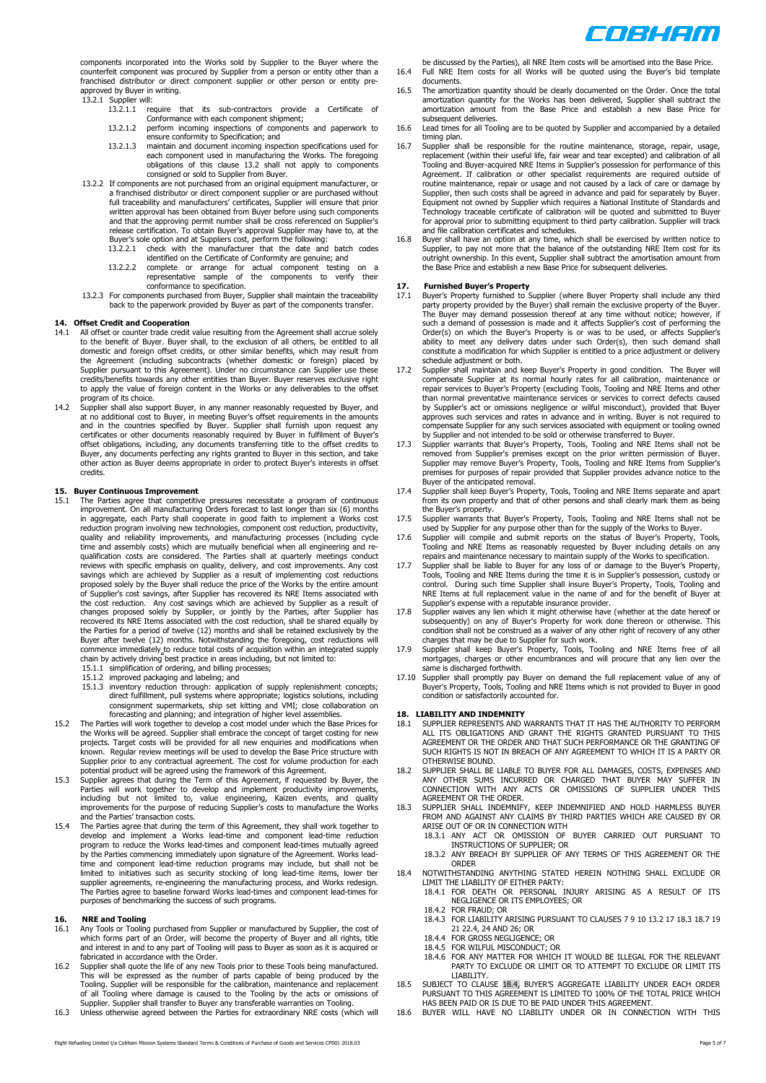COSHAM

components incorporated into the Works sold by Supplier to the Buyer where the counterfeit component was procured by Supplier from a person or entity other than a franchised distributor or direct component supplier or other person or entity preapproved by Buyer in writing.

- 13.2.1 Supplier will: 13.2.1.1 require that its sub-contractors provide a Certificate of Conformance with each component shipment;
	- 13.2.1.2 perform incoming inspections of components and paperwork to ensure conformity to Specification; and
	- 13.2.1.3 maintain and document incoming inspection specifications used for<br>each component used in manufacturing the Works. The foregoing<br>obligations of this clause 13.2 shall not apply to components<br>consigned or sold to Su
- 13.2.2 If components are not purchased from an original equipment manufacturer, or a franchised distributor or direct component supplier or are purchased without<br>full traceability and manufacturers' certificates, Supplier will ensure that prior<br>written approval has been obtained from Buyer before using s release certification. To obtain Buyer's approval Supplier may have to, at the Buyer's sole option and at Suppliers cost, perform the following: 13.2.2.1 check with the manufacturer that the date and batch codes
	-
	- identified on the Certificate of Conformity are genuine; and<br>13.2.2.2 complete or arrange for actual component testing on a<br>representative sample of the components to verify their<br>conformance to specification.
- 13.2.3 For components purchased from Buyer, Supplier shall maintain the traceability back to the paperwork provided by Buyer as part of the components transfer.

## **14. Offset Credit and Cooperation**

- 14.1 All offset or counter trade credit value resulting from the Agreement shall accrue solely to the benefit of Buyer. Buyer shall, to the exclusion of all others, be entitled to all<br>domestic and foreign offset credits, or other similar benefits, which may result from<br>the Agreement (including subcontracts (whether Supplier pursuant to this Agreement). Under no circumstance can Supplier use these credits/benefits towards any other entities than Buyer. Buyer reserves exclusive right to apply the value of foreign content in the Works or any deliverables to the offset program of its choice.
- 14.2 Supplier shall also support Buyer, in any manner reasonably requested by Buyer, and at no additional cost to Buyer, in meeting Buyer's offset requirements in the amounts<br>and in the countries specified by Buyer. Supplier shall furnish upon request any<br>certificates or other documents reasonably required by Buyer, any documents perfecting any rights granted to Buyer in this section, and take other action as Buyer deems appropriate in order to protect Buyer's interests in offset credits.

## **15. Buyer Continuous Improvement**

- 15.1 The Parties agree that competitive pressures necessitate a program of continuous improvement. On all manufacturing Orders forecast to last longer than six (6) months in aggregate, each Party shall cooperate in good faith to implement a Works cost reduction program involving new technologies, component cost reduction, productivity,<br>quality and reliability improvements, and manufacturing processes (including cycle<br>time and assembly costs) which are mutually be qualification costs are considered. The Parties shall at quarterly meetings conduct reviews with specific emphasis on quality, delivery, and cost improvements. Any cost savings which are achieved by Supplier as a result of implementing cost reductions proposed solely by the Buyer shall reduce the price of the Works by the entire amount of Supplier's cost savings, after Supplier has recovered its NRE Items associated with<br>the cost reduction. Any cost savings which are achieved by Supplier as a result of<br>changes proposed solely by Supplier, or jointly by t chain by actively driving best practice in areas including, but not limited to:<br>15.1.1 simplification of ordering, and billing processes;<br>15.1.2 improved packaging and labeling; and<br>15.1.3 inventory reduction through: appl
	-
	- direct fulfillment, pull systems where appropriate; logistics solutions, including consignment supermarkets, ship set kitting and VMI; close collaboration on forecasting and planning; and integration of higher level assemblies.
- 15.2 The Parties will work together to develop a cost model under which the Base Prices for the Works will be agreed. Supplier shall embrace the concept of target costing for new projects. Target costs will be provided for all new enquiries and modifications when<br>known. Regular review meetings will be used to develop the Base Price structure with<br>Supplier prior to any contractual agreement. The cos
- potential product will be agreed using the framework of this Agreement. 15.3 Supplier agrees that during the Term of this Agreement, if requested by Buyer, the Parties will work together to develop and implement productivity improvements, including but not limited to, value engineering, Kaizen events, and quality improvements for the purpose of reducing Supplier's costs to manufacture the Works and the Parties' transaction costs.
- 15.4 The Parties agree that during the term of this Agreement, they shall work together to develop and implement a Works lead-time and component lead-time reduction program to reduce the Works lead-times and component lead-times mutually agreed by the Parties commencing immediately upon signature of the Agreement. Works leadtime and component lead-time reduction programs may include, but shall not be limited to initiatives such as security stocking of long lead-time items, lower tier supplier agreements, re-engineering the manufacturing process, and Works redesign. The Parties agree to baseline forward Works lead-times and component lead-times for purposes of benchmarking the success of such programs.

# **16. NRE and Tooling**

- 16.1 Any Tools or Tooling purchased from Supplier or manufactured by Supplier, the cost of which forms part of an Order, will become the property of Buyer and all rights, title and interest in and to any part of Tooling will pass to Buyer as soon as it is acquired or fabricated in accordance with the Order.
- 16.2 Supplier shall quote the life of any new Tools prior to these Tools being manufactured.<br>This will be expressed as the number of parts capable of being produced by the<br>Tooling. Supplier will be responsible for the cali of all Tooling where damage is caused to the Tooling by the acts or omissions of Supplier. Supplier shall transfer to Buyer any transferable warranties on Tooling.
- 16.3 Unless otherwise agreed between the Parties for extraordinary NRE costs (which will

be discussed by the Parties), all NRE Item costs will be amortised into the Base Price. 16.4 Full NRE Item costs for all Works will be quoted using the Buyer's bid template documents.

- 16.5 The amortization quantity should be clearly documented on the Order. Once the total amortization quantity for the Works has been delivered, Supplier shall subtract the amortization amount from the Base Price and establish a new Base Price for subsequent deliveries.
- 16.6 Lead times for all Tooling are to be quoted by Supplier and accompanied by a detailed timing plan.
- 16.7 Supplier shall be responsible for the routine maintenance, storage, repair, usage, replacement (within their useful life, fair wear and tear excepted) and calibration of all Tooling and Buyer-acquired NRE Items in Supplier's possession for performance of this Agreement. If calibration or other specialist requirements are required outside of routine maintenance, repair or usage and not caused by a lack of care or damage by Supplier, then such costs shall be agreed in advance and paid for separately by Buyer.<br>Equipment not owned by Supplier which requires a National Institute of Standards and<br>Technology traceable certificate of calibration wi for approval prior to submitting equipment to third party calibration. Supplier will track
- and file calibration certificates and schedules.<br>16.8 Buyer shall have an option at any time, which shall be exercised by written notice to<br>Supplier, to pay not more that the balance of the outstanding NRE Item cost for it outright ownership. In this event, Supplier shall subtract the amortisation amount from the Base Price and establish a new Base Price for subsequent deliveries.

- 17. **Furnished Buyer's Property**<br>17.1 Buyer's Property furnished to Supplier (where Buyer Property shall include any third<br>party property provided by the Buyer Jahl remain the exclusive property of the Buyer.<br>The Buyer may ability to meet any delivery dates under such Order(s), then such demand shall constitute a modification for which Supplier is entitled to a price adjustment or delivery schedule adjustment or both.
- 17.2 Supplier shall maintain and keep Buyer's Property in good condition. The Buyer will compensate Supplier at its normal hourly rates for all calibration, maintenance or repair services to Buyer's Property (excluding Tools, Tooling and NRE Items and other than normal preventative maintenance services or services to correct defects caused by Supplier's act or omissions negligence or wilful misconduct), provided that Buyer approves such services and rates in advance and in writing. Buyer is not required to compensate Supplier for any such services associated with equipment or tooling owned<br>by Supplier and not intended to be sold or otherwise transferred to Buyer.<br>17.3 Supplier warrants that Buyer's Property, Tools, Tooling a
- removed from Supplier's premises except on the prior written permission of Buyer.<br>Supplier may remove Buyer's Property, Tools, Tooling and NRE Items from Supplier's<br>premises for purposes of repair provided that Supplier pr Buyer of the anticipated removal.
- 17.4 Supplier shall keep Buyer's Property, Tools, Tooling and NRE Items separate and apart from its own property and that of other persons and shall clearly mark them as being the Buyer's property.
- 17.5 Supplier warrants that Buyer's Property, Tools, Tooling and NRE Items shall not be
- used by Supplier for any purpose other than for the supply of the Works to Buyer.<br>17.6 Supplier will compile and submit reports on the status of Buyer's Property, Tools,<br>Tooling and NRE Items as reasonably requested by Buy
- 17.7 Supplier shall be liable to Buyer for any loss of or damage to the Buyer's Property, Tools, Tooling and NRE Items during the time it is in Supplier's possession, custody or control. During such time Supplier shall insure Buyer's Property, Tools, Tooling and NRE Items at full replacement value in the name of and for the benefit of Buyer at Supplier's expense with a reputable insurance provider.
- 17.8 Supplier waives any lien which it might otherwise have (whether at the date hereof or subsequently) on any of Buyer's Property for work done thereon or otherwise. This condition shall not be construed as a waiver of a
- 17.9 Supplier shall keep Buyer's Property, Tools, Tooling and NRE Items free of all mortgages, charges or other encumbrances and will procure that any lien over the same is discharged forthwith.
- 17.10 Supplier shall promptly pay Buyer on demand the full replacement value of any of Buyer's Property, Tools, Tooling and NRE Items which is not provided to Buyer in good condition or satisfactorily accounted for.

#### **18. LIABILITY AND INDEMNITY**

- 18.1 SUPPLIER REPRESENTS AND WARRANTS THAT IT HAS THE AUTHORITY TO PERFORM ALL ITS OBLIGATIONS AND GRANT THE RIGHTS GRANTED PURSUANT TO THIS AGREEMENT OR THE ORDER AND THAT SUCH PERFORMANCE OR THE GRANTING OF SUCH RIGHTS IS NOT IN BREACH OF ANY AGREEMENT TO WHICH IT IS A PARTY OR
- OTHERWISE BOUND.<br>18.2 SUPPLIER SHALL BE LIABLE TO BUYER FOR ALL DAMAGES, COSTS, EXPENSES AND<br>ANY OTHER SUMS INCURRED OR CHARGED THAT BUYER MAY SUFFER IN<br>CONNECTION WITH ANY ACTS OR OMISSIONS OF SUPPLIER UNDER THIS<br>AGREEMEN
- 18.3 SUPPLIER SHALL INDEMNIFY, KEEP INDEMNIFIED AND HOLD HARMLESS BUYER FROM AND AGAINST ANY CLAIMS BY THIRD PARTIES WHICH ARE CAUSED BY OR ARISE OUT OF OR IN CONNECTION WITH
	- 18.3.1 ANY ACT OR OMISSION OF BUYER CARRIED OUT PURSUANT TO INSTRUCTIONS OF SUPPLIER; OR 18.3.2 ANY BREACH BY SUPPLIER OF ANY TERMS OF THIS AGREEMENT OR THE
- ORDER 18.4 NOTWITHSTANDING ANYTHING STATED HEREIN NOTHING SHALL EXCLUDE OR LIMIT THE LIABILITY OF EITHER PARTY:
	- 18.4.1 FOR DEATH OR PERSONAL INJURY ARISING AS A RESULT OF ITS NEGLIGENCE OR ITS EMPLOYEES; OR
		- 18.4.2 FOR FRAUD; OR 18.4.3 FOR LIABILITY ARISING PURSUANT TO CLAUSES 7 9 10 13.2 17 18.3 18.7 19 21 22.4, 24 AND 26; OR
		-
		- 18.4.4 FOR GROSS NEGLIGENCE; OR
	-
	- 18.4.5 FOR WILFUL MISCONDUCT; OR 18.4.6 FOR ANY MATTER FOR WHICH IT WOULD BE ILLEGAL FOR THE RELEVANT PARTY TO EXCLUDE OR LIMIT OR TO ATTEMPT TO EXCLUDE OR LIMIT ITS LIABILITY.
- 18.5 SUBJECT TO CLAUSE 18.4, BUYER'S AGGREGATE LIABILITY UNDER EACH ORDER PURSUANT TO THIS AGREEMENT IS LIMITED TO 100% OF THE TOTAL PRICE WHICH HAS BEEN PAID OR IS DUE TO BE PAID UNDER THIS AGREEMENT.
- 18.6 BUYER WILL HAVE NO LIABILITY UNDER OR IN CONNECTION WITH THIS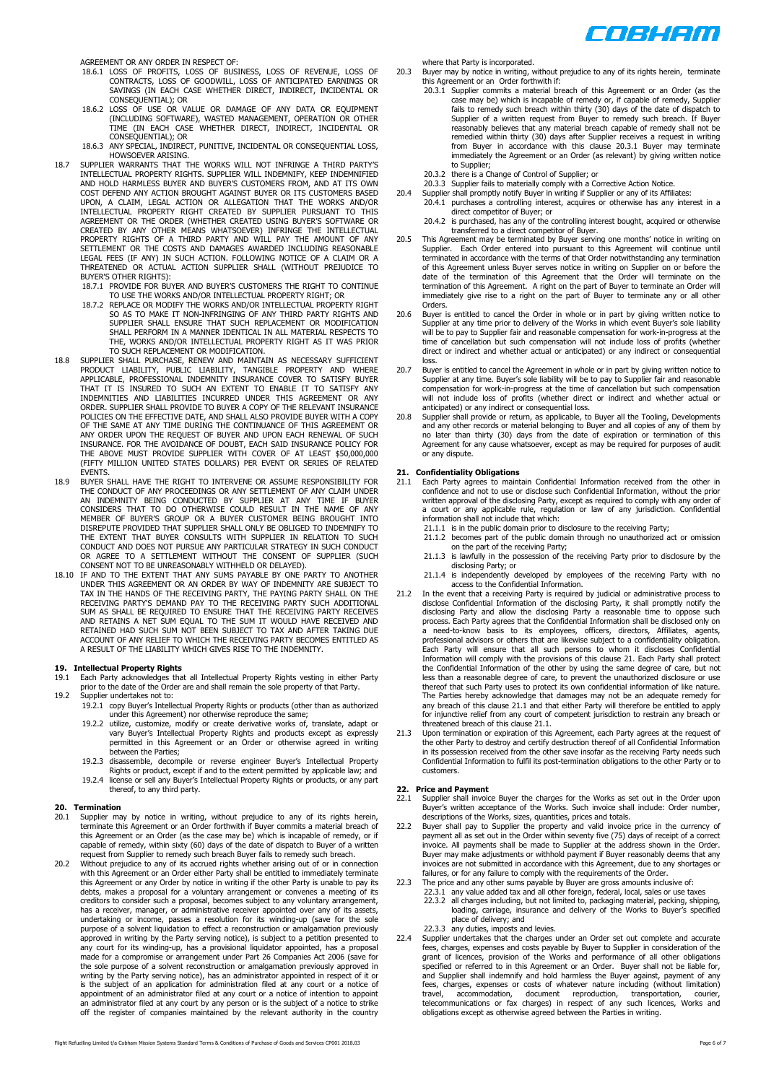

AGREEMENT OR ANY ORDER IN RESPECT OF:

- 18.6.1 LOSS OF PROFITS, LOSS OF BUSINESS, LOSS OF REVENUE, LOSS OF CONTRACTS, LOSS OF GOODWILL, LOSS OF ANTICIPATED EARNINGS OR SAVINGS (IN EACH CASE WHETHER DIRECT, INDIRECT, INCIDENTAL OR
- CONSEQUENTIAL); OR 18.6.2 LOSS OF USE OR VALUE OR DAMAGE OF ANY DATA OR EQUIPMENT (INCLUDING SOFTWARE), WASTED MANAGEMENT, OPERATION OR OTHER<br>TIME (IN EACH CASE WHETHER DIRECT, INDIRECT, INCIDENTAL OR<br>CONSEQUENTIAL); OR
- 
- 18.6.3 ANY SPECIAL, INDIRECT, PUNITIVE, INCIDENTAL OR CONSEQUENTIAL LOSS,<br>18.7 SUPPLIER WARRANTS THAT THE WORKS WILL NOT INFRINGE A THIRD PARTY'S<br>18.7 SUPPLIER WARRANTS THAT THE WORKS WILL INDEMNIFY, KEEP INDEMNIFIED<br>19.8 UPON, A CLAIM, LEGAL ACTION OR ALLEGATION THAT THE WORKS AND/OR<br>INTELLECTUAL PROPERTY RIGHT CREATED BY SUPPLIER PURSUANT TO THIS<br>AGREEMENT OR THE ORDER (WHETHER CREATED USING BUYER'S SOFTWARE OR CREATED BY ANY OTHER MEANS WHATSOEVER) INFRINGE THE INTELLECTUAL<br>PROPERTY RIGHTS OF A THIRD PARTY AND WILL PAY THE AMOUNT OF ANY<br>SETTLEMENT OR THE COSTS AND DAMAGES AWARDED INCLUDING REASONABLE LEGAL FEES (IF ANY) IN SUCH ACTION. FOLLOWING NOTICE OF A CLAIM OR A THREATENED OR ACTUAL ACTION SUPPLIER SHALL (WITHOUT PREJUDICE TO
	- BUYER'S OTHER RIGHTS): 18.7.1 PROVIDE FOR BUYER AND BUYER'S CUSTOMERS THE RIGHT TO CONTINUE
	- TO USE THE WORKS AND/OR INTELLECTUAL PROPERTY RIGHT; OR 18.7.2 REPLACE OR MODIFY THE WORKS AND/OR INTELLECTUAL PROPERTY RIGHT SO AS TO MAKE IT NON-INFRINGING OF ANY THIRD PARTY RIGHTS AND SUPPLIER SHALL ENSURE THAT SUCH REPLACEMENT OR MODIFICATION SHALL PERFORM IN A MANNER IDENTICAL IN ALL MATERIAL RESPECTS TO THE, WORKS AND/OR INTELLECTUAL PROPERTY RIGHT AS IT WAS PRIOR TO SUCH REPLACEMENT OR MODIFICATION.
- 18.8 SUPPLIER SHALL PURCHASE, RENEW AND MAINTAIN AS NECESSARY SUFFICIENT<br>PRODUCT LIABILITY, PUBLIC LIABILITY, TANGIBLE PROPERTY AND<br>APPLICABLE, PROFESSIONAL INDEMNITY INSURANCE COVER TO SATISFY BUYER THAT IT IS INSURED TO SUCH AN EXTENT TO ENABLE IT TO SATISFY ANY<br>INDEMNITIES AND LIABILITIES INCURRED UNDER THIS AGREEMENT OR ANY<br>ORDER.SUPPLIER SHALL-PROVIDETO BUYER A COPY OF THE RELEVANT INSURANCE<br>POLICIES.ON THE EFFECT OF THE SAME AT ANY TIME DURING THE CONTINUANCE OF THIS AGREEMENT OR<br>ANY ORDER UPON THE REQUEST OF BUYER AND UPON EACH RENEWAL OF SUCH<br>INSURANCE. FOR THE AVOIDANCE OF DOUBT, EACH SAID INSURANCE POLICY FOR THE ABOVE MUST PROVIDE SUPPLIER WITH COVER OF AT LEAST \$50,000,000 (FIFTY MILLION UNITED STATES DOLLARS) PER EVENT OR SERIES OF RELATED EVENTS.
- 18.9 BUYER SHALL HAVE THE RIGHT TO INTERVENE OR ASSUME RESPONSIBILITY FOR THE CONDUCT OF ANY PROCEEDINGS OR ANY SETTLEMENT OF ANY CLAIM UNDER AN INDEMNITY BEING CONDUCTED BY SUPPLIER AT ANY TIME IF BUYER SCOULD RESULT IN T THE EXTENT THAT BUYER CONSULTS WITH SUPPLIER IN RELATION TO SUCH<br>CONDUCT AND DOES NOT PURSUE ANY PARTICULAR STRATEGY IN SUCH CONDUCT<br>OR AGREE TO A SETTLEMENT WITHOUT THE CONSENT OF SUPPLIER (SUCH
- CONSENT NOT TO BE UNREASONABLY WITHHELD OR DELAYED). 18.10 IF AND TO THE EXTENT THAT ANY SUMS PAYABLE BY ONE PARTY TO ANOTHER UNDER THIS AGREEMENT OR AN ORDER BY WAY OF INDEMNITY ARE SUBJECT TO<br>TAX IN THE HANDS OF THE RECEIVING PARTY, THE PAYING PARTY SHALL ON THE<br>RECEIVING PARTY'S DEMAND PAY TO THE RECEIVING PARTY SUCH ADDITIONAL SUM AS SHALL BE REQUIRED TO ENSURE THAT THE RECEIVING PARTY RECEIVES<br>AND RETAINS A NET SUM EQUAL TO THE SUM IT WOULD HAVE RECEIVED AND<br>RETAINED HAD SUCH SUM NOT BEEN SUBJECT TO TAX AND AFTER TAKING DUE<br>ACCOUNT OF ANY RELIE A RESULT OF THE LIABILITY WHICH GIVES RISE TO THE INDEMNITY.

- **19. Intellectual Property Rights**  19.1 Each Party acknowledges that all Intellectual Property Rights vesting in either Party prior to the date of the Order are and shall remain the sole property of that Party.
- 19.2 Supplier undertakes not to: 19.2.1 copy Buyer's Intellectual Property Rights or products (other than as authorized under this Agreement) nor otherwise reproduce the same;
	- 19.2.2 utilize, customize, modify or create derivative works of, translate, adapt or vary Buyer's Intellectual Property Rights and products except as expressly permitted in this Agreement or an Order or otherwise agreed in writing .<br>between the Parties:
	- 19.2.3 disassemble, decompile or reverse engineer Buyer's Intellectual Property Rights or product, except if and to the extent permitted by applicable law; and 19.2.4 license or sell any Buyer's Intellectual Property Rights or products, or any part
	- thereof, to any third party.

### **20. Termination**

- 20.1 Supplier may by notice in writing, without prejudice to any of its rights herein, terminate this Agreement or an Order forthwith if Buyer commits a material breach of this Agreement or an Order (as the case may be) which is incapable of remedy, or if capable of remedy, within sixty (60) days of the date of dispatch to Buyer of a written
- request from Supplier to remedy such breach Buyer fails to remedy such breach.<br>20.2 Without prejudice to any of its accrued rights whether arising out of or in connection<br>with this Agreement or an Order either Party shall undertaking or income, passes a resolution for its winding-up (save for the sole purpose of a solvent liquidation to effect a reconstruction or amalgamation previously approved in writing by the Party serving notice), is subject to a petition presented to any court for its winding-up, has a provisional liquidator appointed, has a proposal made for a compromise or arrangement under Part 26 Companies Act 2006 (save for the sole purpose of a solvent reconstruction or amalgamation previously approved in<br>writing by the Party serving notice), has an administrator appointed in respect of it or<br>is the subject of an application for administrati

where that Party is incorporated.

- Buyer may by notice in writing, without prejudice to any of its rights herein, terminate this Agreement or an Order forthwith if:
	- 20.3.1 Supplier commits a material breach of this Agreement or an Order (as the case may be) which is incapable of remedy or, if capable of remedy, Supplier fails to remedy such breach within thirty (30) days of the date of dispatch to Supplier of a written request from Buyer to remedy such breach. If Buyer reasonably believes that any material breach capable of remedy shall not be remedied within thirty (30) days after Supplier receives a request in writing from Buyer in accordance with this clause 20.3.1 Buyer may terminate immediately the Agreement or an Order (as relevant) by giving written notice to Supplier
	- 20.3.2 there is a Change of Control of Supplier; or 20.3.3 Supplier fails to materially comply with a Corrective Action Notice.
	-
- 20.4 Supplier shall promptly notify Buyer in writing if Supplier or any of its Affiliates:<br>20.4.1 purchases a controlling interest, acquires or otherwise has any interest in a<br>direct competitor of Buyer; or<br>20.4.2 is purch
	-
- transferred to a direct competitor of Buyer. 20.5 This Agreement may be terminated by Buyer serving one months' notice in writing on Supplier. Each Order entered into pursuant to this Agreement will continue until terminated in accordance with the terms of that Order notwithstanding any termination of this Agreement unless Buyer serves notice in writing on Supplier on or before the date of the termination of this Agreement that the Order will terminate on the termination of this Agreement. A right on the part of Buyer to terminate an Order will immediately give rise to a right on the part of Buyer to terminate any or all other Orders.
- 20.6 Buyer is entitled to cancel the Order in whole or in part by giving written notice to Supplier at any time<br>Supplier fair and reader of delivery of the Works in which event Buyer's sole liability<br>will be to pay to Supp time of cancellation but such compensation will not include loss of profits (whether direct or indirect and whether actual or anticipated) or any indirect or consequential loss.
- 20.7 Buyer is entitled to cancel the Agreement in whole or in part by giving written notice to Supplier at any time. Buyer's sole liability will be to pay to Supplier fair and reasonable compensation for work-in-progress at the time of cancellation but such compensation will not include loss of profits (whether direct or indirect and whether actual or anticipated) or any indirect or consequential loss.
- 20.8 Supplier shall provide or return, as applicable, to Buyer all the Tooling, Developments and any other records or material belonging to Buyer and all copies of any of them by<br>no later than thirty (30) days from the date of expiration or termination of this<br>Agreement for any cause whatsoever, except as may be r or any dispute.

# **21. Confidentiality Obligations**

- 21.1 Each Party agrees to maintain Confidential Information received from the other in confidence and not to use or disclose such Confidential Information, without the prior written approval of the disclosing Party, except as required to comply with any order of a court or any applicable rule, regulation or law of any jurisdiction. Confidential information shall not include that which:
	- 21.1.1 is in the public domain prior to disclosure to the receiving Party;
	- 21.1.2 becomes part of the public domain through no unauthorized act or omission on the part of the receiving Party; 21.1.3 is lawfully in the possession of the receiving Party prior to disclosure by the
	- disclosing Party; or 21.1.4 is independently developed by employees of the receiving Party with no
- 
- access to the Confidential Information.<br>21.2 In the event that a receiving Party is required by judicial or administrative process to disclose Confidential Information of the disclosing Party, it shall promptly notify the The Parties hereby acknowledge that damages may not be an adequate remedy for any breach of this clause 21.1 and that either Party will therefore be entitled to apply for injunctive relief from any court of competent jurisdiction to restrain any breach or
- threatened breach of this clause 21.1. 21.3 Upon termination or expiration of this Agreement, each Party agrees at the request of the other Party to destroy and certify destruction thereof of all Confidential Information in its possession received from the other save insofar as the receiving Party needs such Confidential Information to fulfil its post-termination obligations to the other Party or to customers.

# **22. Price and Payment**

- 22.1 Supplier shall invoice Buyer the charges for the Works as set out in the Order upon Buyer's written acceptance of the Works. Such invoice shall include: Order number,<br>descriptions of the Works, sizes, quantities, prices and totals.<br>22.2 Buyer shall pay to Supplier the property and valid invoice price in t
- payment all as set out in the Order within seventy five (75) days of receipt of a correct invoice. All payments shall be made to Supplier at the address shown in the Order. Buyer may make adjustments or withhold payment if Buyer reasonably deems that any invoices are not submitted in accordance with this Agreement, due to any shortages or<br>failures, or for any failure to comply with the requirements of the Order.<br>The price and any other sums payable by Buyer are gross amoun
- - 22.3.2 all charges including, but not limited to, packaging material, packing, shipping, loading, carriage, insurance and delivery of the Works to Buyer's specified place of delivery; and 22.3.3 any duties, imposts and levies.
	-
- Supplier undertakes that the charges under an Order set out complete and accurate fees, charges, expenses and costs payable by Buyer to Supplier in consideration of the grant of licences, provision of the Works and performance of all other obligations specified or referred to in this Agreement or an Order. Buyer shall not be liable for, and Supplier shall indemnify and hold harmless the Buyer against, payment of any fees, charges, expenses or costs of whatever nature in